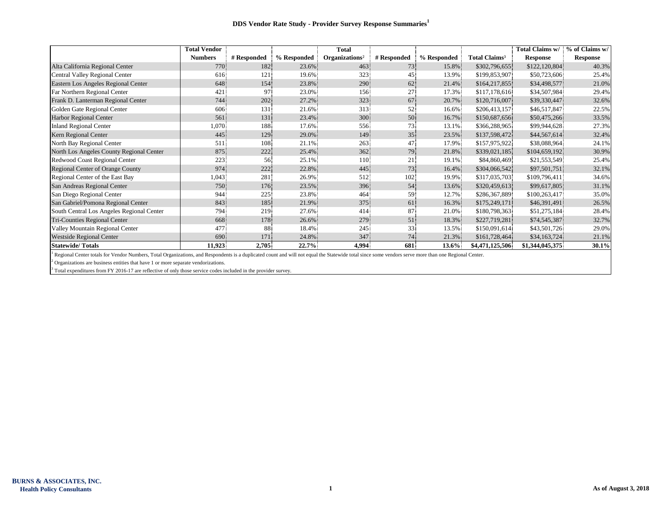|                                           | <b>Total Vendor</b> |             |             | <b>Total</b>               |             |             |                                 | Total Claims w/ | % of Claims w/  |
|-------------------------------------------|---------------------|-------------|-------------|----------------------------|-------------|-------------|---------------------------------|-----------------|-----------------|
|                                           | <b>Numbers</b>      | # Responded | % Responded | Organizations <sup>2</sup> | # Responded | % Responded | <b>Total Claims<sup>3</sup></b> | <b>Response</b> | <b>Response</b> |
| Alta California Regional Center           | 770                 | 182         | 23.6%       | 463                        | 73          | 15.8%       | \$302,796,655                   | \$122,120,804   | 40.3%           |
| Central Valley Regional Center            | 616                 | 121         | 19.6%       | 323                        | 45          | 13.9%       | \$199,853,907                   | \$50,723,606    | 25.4%           |
| Eastern Los Angeles Regional Center       | 648                 | 154         | 23.8%       | 290                        | 62          | 21.4%       | \$164,217,855                   | \$34,498,577    | 21.0%           |
| Far Northern Regional Center              | 421                 | 97          | 23.0%       | 156                        | 27          | 17.3%       | \$117,178,616                   | \$34,507,984    | 29.4%           |
| Frank D. Lanterman Regional Center        | 744                 | 202         | 27.2%       | 323                        | 67          | 20.7%       | \$120,716,007                   | \$39,330,447    | 32.6%           |
| Golden Gate Regional Center               | 606                 | 131         | 21.6%       | 313                        | 52          | 16.6%       | \$206,413,157                   | \$46,517,847    | 22.5%           |
| Harbor Regional Center                    | 561                 | 131         | 23.4%       | 300                        | 50          | 16.7%       | \$150,687,656                   | \$50,475,266    | 33.5%           |
| <b>Inland Regional Center</b>             | 1,070               | 188         | 17.6%       | 556                        | 73          | 13.1%       | \$366,288,965                   | \$99,944,628    | 27.3%           |
| Kern Regional Center                      | 445                 | 129         | 29.0%       | 149                        | 35          | 23.5%       | \$137,598,472                   | \$44,567,614    | 32.4%           |
| North Bay Regional Center                 | 511                 | 108         | 21.1%       | 263                        | 47          | 17.9%       | \$157,975,922                   | \$38,088,964    | 24.1%           |
| North Los Angeles County Regional Center  | 875                 | 222         | 25.4%       | 362                        | 79          | 21.8%       | \$339,021,185                   | \$104,659,192   | 30.9%           |
| Redwood Coast Regional Center             | 223                 | 56          | 25.1%       | 110                        | 21.         | 19.1%       | \$84,860,469                    | \$21,553,549    | 25.4%           |
| Regional Center of Orange County          | 974                 | 222         | 22.8%       | 445                        | 73          | 16.4%       | \$304,066,542                   | \$97,501,751    | 32.1%           |
| Regional Center of the East Bay           | 1,043               | 281         | 26.9%       | 512                        | 102         | 19.9%       | \$317,035,703                   | \$109,796,411   | 34.6%           |
| San Andreas Regional Center               | 750                 | 176         | 23.5%       | 396                        | 54          | 13.6%       | \$320,459,613                   | \$99,617,805    | 31.1%           |
| San Diego Regional Center                 | 944                 | 225         | 23.8%       | 464                        | 59          | 12.7%       | \$286,367,889                   | \$100,263,417   | 35.0%           |
| San Gabriel/Pomona Regional Center        | 843                 | 185         | 21.9%       | 375                        | 61          | 16.3%       | \$175,249,171                   | \$46,391,491    | 26.5%           |
| South Central Los Angeles Regional Center | 794                 | 219         | 27.6%       | 414                        | 87          | 21.0%       | \$180,798,363                   | \$51,275,184    | 28.4%           |
| Tri-Counties Regional Center              | 668                 | 178         | 26.6%       | 279                        | 51          | 18.3%       | \$227,719,281                   | \$74,545,387    | 32.7%           |
| Valley Mountain Regional Center           | 477                 | 88          | 18.4%       | 245                        | 33          | 13.5%       | \$150,091,614                   | \$43,501,726    | 29.0%           |
| <b>Westside Regional Center</b>           | 690                 | 171         | 24.8%       | 347                        | 74          | 21.3%       | \$161,728,464                   | \$34,163,724    | 21.1%           |
| <b>Statewide/Totals</b>                   | 11,923              | 2,705       | 22.7%       | 4,994                      | 681         | $13.6\%$    | \$4,471,125,506                 | \$1,344,045,375 | 30.1%           |

<sup>1</sup> Regional Center totals for Vendor Numbers, Total Organizations, and Respondents is a duplicated count and will not equal the Statewide total since some vendors serve more than one Regional Center.

 $2$  Organizations are business entities that have 1 or more separate vendorizations.

<sup>3</sup> Total expenditures from FY 2016-17 are reflective of only those service codes included in the provider survey.